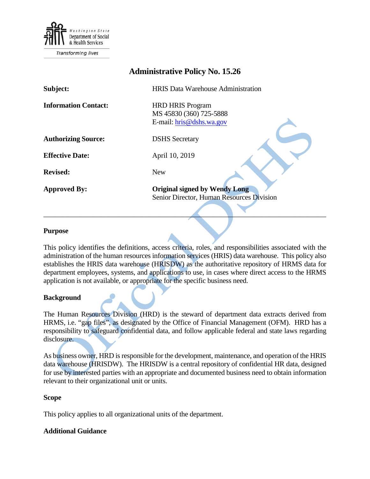

**Transforming lives** 

# **Administrative Policy No. 15.26**

| Subject:                    | <b>HRIS</b> Data Warehouse Administration          |
|-----------------------------|----------------------------------------------------|
| <b>Information Contact:</b> | <b>HRD HRIS Program</b><br>MS 45830 (360) 725-5888 |
|                             | E-mail: hris@dshs.wa.gov                           |
| <b>Authorizing Source:</b>  | <b>DSHS</b> Secretary                              |
| <b>Effective Date:</b>      | April 10, 2019                                     |
| <b>Revised:</b>             | <b>New</b>                                         |
| <b>Approved By:</b>         | <b>Original signed by Wendy Long</b>               |
|                             | Senior Director, Human Resources Division          |
|                             |                                                    |

#### **Purpose**

This policy identifies the definitions, access criteria, roles, and responsibilities associated with the administration of the human resources information services (HRIS) data warehouse. This policy also establishes the HRIS data warehouse (HRISDW) as the authoritative repository of HRMS data for department employees, systems, and applications to use, in cases where direct access to the HRMS application is not available, or appropriate for the specific business need.

#### **Background**

The Human Resources Division (HRD) is the steward of department data extracts derived from HRMS, i.e. "gap files", as designated by the Office of Financial Management (OFM). HRD has a responsibility to safeguard confidential data, and follow applicable federal and state laws regarding disclosure.

As business owner, HRD is responsible for the development, maintenance, and operation of the HRIS data warehouse (HRISDW). The HRISDW is a central repository of confidential HR data, designed for use by interested parties with an appropriate and documented business need to obtain information relevant to their organizational unit or units.

#### **Scope**

This policy applies to all organizational units of the department.

### **Additional Guidance**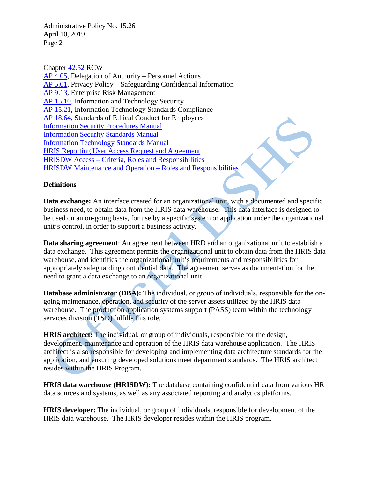Administrative Policy No. 15.26 April 10, 2019 Page 2

Chapter [42.52](http://apps.leg.wa.gov/RCW/default.aspx?cite=42.52) RCW

[AP 4.05,](http://one.dshs.wa.lcl/Policies/Administrative/DSHS-AP-04-05.pdf) Delegation of Authority – Personnel Actions [AP 5.01,](http://one.dshs.wa.lcl/Policies/Administrative/DSHS-AP-05-01.pdf) Privacy Policy – Safeguarding Confidential Information [AP 9.13,](http://one.dshs.wa.lcl/Policies/Administrative/DSHS-AP-09-13.pdf) Enterprise Risk Management [AP 15.10,](http://one.dshs.wa.lcl/Policies/Administrative/DSHS-AP-15-10.pdf) Information and Technology Security [AP 15.21,](http://one.dshs.wa.lcl/Policies/Administrative/DSHS-AP-15-21.pdf) Information Technology Standards Compliance [AP 18.64,](http://one.dshs.wa.lcl/Policies/Administrative/DSHS-AP-18-64.pdf) Standards of Ethical Conduct for Employees [Information Security Procedures Manual](http://ishare.dshs.wa.lcl/Security/Manuals/Standards) [Information Security Standards Manual](http://ishare.dshs.wa.lcl/Security/Manuals/Standards/Pages/default.aspx) [Information Technology Standards Manual](http://intra.dshs.wa.lcl/itstandards/index.stm) [HRIS Reporting User Access Request and Agreement](http://one.dshs.wa.lcl/HR/Tools/HRIS/Documents/HRIS_AccessRequest.docx) HRISDW Access – [Criteria, Roles and Responsibilities](http://one.dshs.wa.lcl/HR/Tools/HRIS/Documents/HRISDW_Access.pdf) [HRISDW Maintenance and Operation –](http://one.dshs.wa.lcl/HR/Tools/HRIS/Documents/HRISDW_Roles.pdf) Roles and Responsibilities

## **Definitions**

**Data exchange:** An interface created for an organizational unit, with a documented and specific business need, to obtain data from the HRIS data warehouse. This data interface is designed to be used on an on-going basis, for use by a specific system or application under the organizational unit's control, in order to support a business activity.

**Data sharing agreement**: An agreement between HRD and an organizational unit to establish a data exchange. This agreement permits the organizational unit to obtain data from the HRIS data warehouse, and identifies the organizational unit's requirements and responsibilities for appropriately safeguarding confidential data. The agreement serves as documentation for the need to grant a data exchange to an organizational unit.

**Database administrator (DBA):** The individual, or group of individuals, responsible for the ongoing maintenance, operation, and security of the server assets utilized by the HRIS data warehouse. The production application systems support (PASS) team within the technology services division (TSD) fulfills this role.

**HRIS architect:** The individual, or group of individuals, responsible for the design, development, maintenance and operation of the HRIS data warehouse application. The HRIS architect is also responsible for developing and implementing data architecture standards for the application, and ensuring developed solutions meet department standards. The HRIS architect resides within the HRIS Program.

**HRIS data warehouse (HRISDW):** The database containing confidential data from various HR data sources and systems, as well as any associated reporting and analytics platforms.

**HRIS developer:** The individual, or group of individuals, responsible for development of the HRIS data warehouse. The HRIS developer resides within the HRIS program.